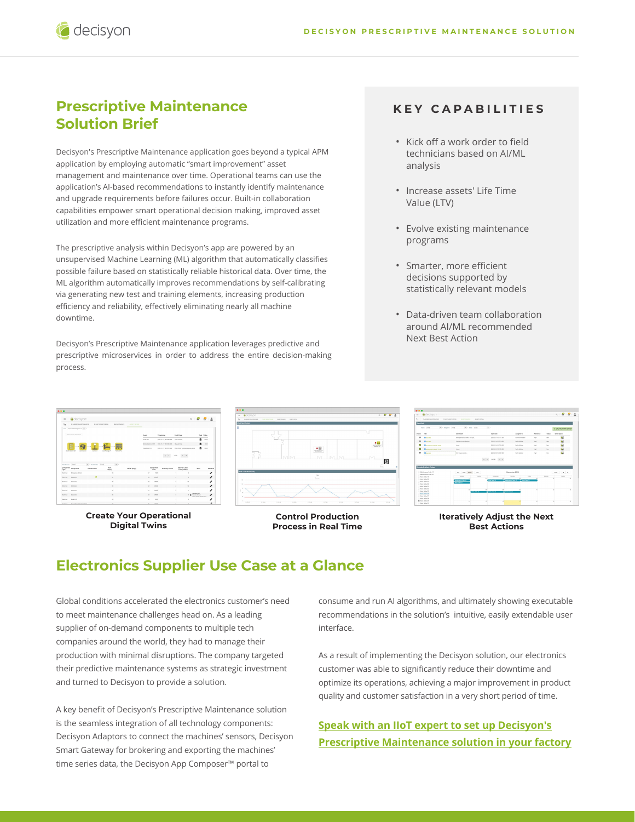## **Prescriptive Maintenance Solution Brief**

decisyon

Decisyon's Prescriptive Maintenance application goes beyond a typical APM application by employing automatic "smart improvement" asset management and maintenance over time. Operational teams can use the application's AI-based recommendations to instantly identify maintenance and upgrade requirements before failures occur. Built-in collaboration capabilities empower smart operational decision making, improved asset utilization and more efficient maintenance programs.

The prescriptive analysis within Decisyon's app are powered by an unsupervised Machine Learning (ML) algorithm that automatically classifies possible failure based on statistically reliable historical data. Over time, the ML algorithm automatically improves recommendations by self-calibrating via generating new test and training elements, increasing production efficiency and reliability, effectively eliminating nearly all machine downtime.

Decisyon's Prescriptive Maintenance application leverages predictive and prescriptive microservices in order to address the entire decision-making process.

### **KEY CAPABILITIES**

- Kick off a work order to field technicians based on AI/ML analysis
- Increase assets' Life Time Value (LTV)
- Evolve existing maintenance programs
- Smarter, more efficient decisions supported by statistically relevant models
- Data-driven team collaboration around AI/ML recommended Next Best Action



**Create Your Operational Digital Twins**



**Control Production Process in Real Time**



#### **Iteratively Adjust the Next Best Actions**

## **Electronics Supplier Use Case at a Glance**

Global conditions accelerated the electronics customer's need to meet maintenance challenges head on. As a leading supplier of on-demand components to multiple tech companies around the world, they had to manage their production with minimal disruptions. The company targeted their predictive maintenance systems as strategic investment and turned to Decisyon to provide a solution.

A key benefit of Decisyon's Prescriptive Maintenance solution is the seamless integration of all technology components: Decisyon Adaptors to connect the machines' sensors, Decisyon Smart Gateway for brokering and exporting the machines' time series data, the Decisyon App Composer™ portal to

consume and run AI algorithms, and ultimately showing executable recommendations in the solution's intuitive, easily extendable user interface.

As a result of implementing the Decisyon solution, our electronics customer was able to significantly reduce their downtime and optimize its operations, achieving a major improvement in product quality and customer satisfaction in a very short period of time.

#### **Speak with an IIoT expert to set up Decisyon's [Prescriptive Maintenance solution in your factory](https://decisyon.com/contact-us/)**